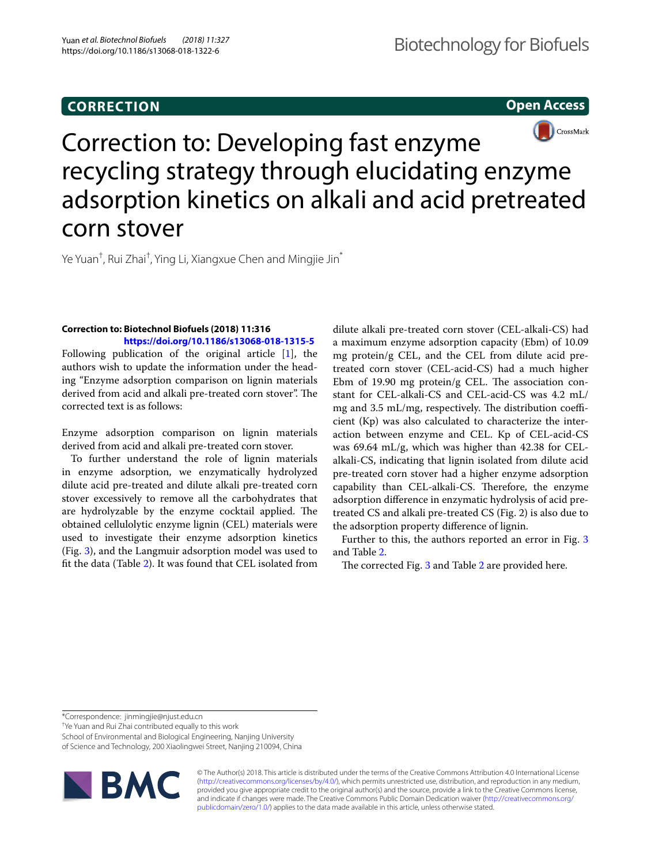# **CORRECTION**

**Open Access**



# Correction to: Developing fast enzyme recycling strategy through elucidating enzyme adsorption kinetics on alkali and acid pretreated corn stover

Ye Yuan<sup>†</sup>, Rui Zhai<sup>†</sup>, Ying Li, Xiangxue Chen and Mingjie Jin<sup>\*</sup>

## **Correction to: Biotechnol Biofuels (2018) 11:316 <https://doi.org/10.1186/s13068-018-1315-5>**

Following publication of the original article [\[1\]](#page-1-0), the authors wish to update the information under the heading "Enzyme adsorption comparison on lignin materials derived from acid and alkali pre-treated corn stover". The corrected text is as follows:

Enzyme adsorption comparison on lignin materials derived from acid and alkali pre-treated corn stover.

To further understand the role of lignin materials in enzyme adsorption, we enzymatically hydrolyzed dilute acid pre-treated and dilute alkali pre-treated corn stover excessively to remove all the carbohydrates that are hydrolyzable by the enzyme cocktail applied. The obtained cellulolytic enzyme lignin (CEL) materials were used to investigate their enzyme adsorption kinetics (Fig. [3](#page-1-1)), and the Langmuir adsorption model was used to ft the data (Table [2](#page-1-2)). It was found that CEL isolated from

dilute alkali pre-treated corn stover (CEL-alkali-CS) had a maximum enzyme adsorption capacity (Ebm) of 10.09 mg protein/g CEL, and the CEL from dilute acid pretreated corn stover (CEL-acid-CS) had a much higher Ebm of 19.90 mg protein/g CEL. The association constant for CEL-alkali-CS and CEL-acid-CS was 4.2 mL/ mg and  $3.5$  mL/mg, respectively. The distribution coefficient (Kp) was also calculated to characterize the interaction between enzyme and CEL. Kp of CEL-acid-CS was 69.64 mL/g, which was higher than 42.38 for CELalkali-CS, indicating that lignin isolated from dilute acid pre-treated corn stover had a higher enzyme adsorption capability than CEL-alkali-CS. Therefore, the enzyme adsorption diference in enzymatic hydrolysis of acid pretreated CS and alkali pre-treated CS (Fig. 2) is also due to the adsorption property diference of lignin.

Further to this, the authors reported an error in Fig. [3](#page-1-1) and Table [2.](#page-1-2)

The corrected Fig. [3](#page-1-1) and Table [2](#page-1-2) are provided here.

\*Correspondence: jinmingjie@njust.edu.cn

† Ye Yuan and Rui Zhai contributed equally to this work

School of Environmental and Biological Engineering, Nanjing University of Science and Technology, 200 Xiaolingwei Street, Nanjing 210094, China



© The Author(s) 2018. This article is distributed under the terms of the Creative Commons Attribution 4.0 International License [\(http://creativecommons.org/licenses/by/4.0/\)](http://creativecommons.org/licenses/by/4.0/), which permits unrestricted use, distribution, and reproduction in any medium, provided you give appropriate credit to the original author(s) and the source, provide a link to the Creative Commons license, and indicate if changes were made. The Creative Commons Public Domain Dedication waiver ([http://creativecommons.org/](http://creativecommons.org/publicdomain/zero/1.0/) [publicdomain/zero/1.0/](http://creativecommons.org/publicdomain/zero/1.0/)) applies to the data made available in this article, unless otherwise stated.